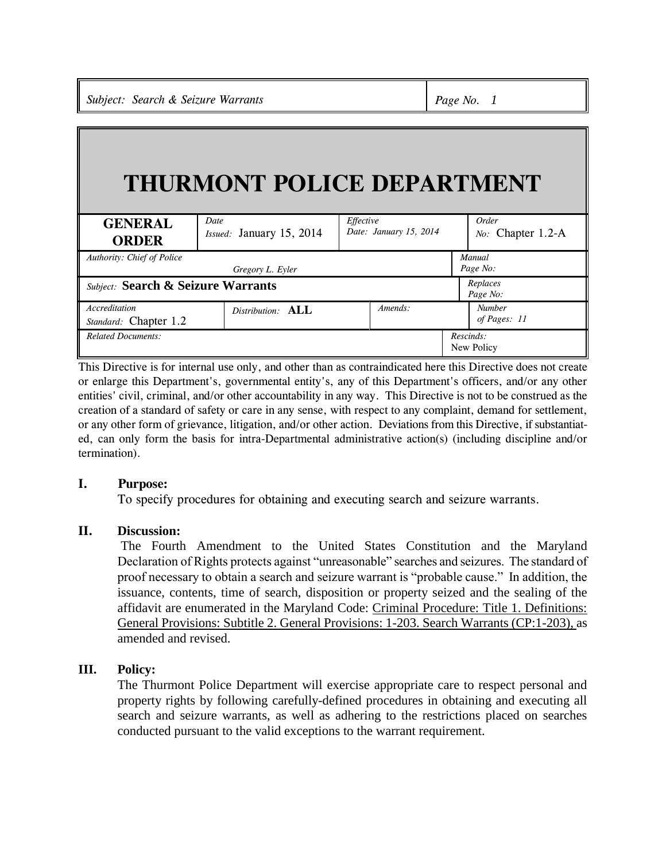# **THURMONT POLICE DEPARTMENT**

| <b>GENERAL</b><br><b>ORDER</b>                | Date<br>Issued: January 15, 2014 | Effective<br>Date: January 15, 2014 | Order<br>No: Chapter 1.2-A    |
|-----------------------------------------------|----------------------------------|-------------------------------------|-------------------------------|
| <b>Authority: Chief of Police</b>             |                                  | Manual                              |                               |
| Gregory L. Eyler                              |                                  |                                     | Page No:                      |
| <b>Subject:</b> Search & Seizure Warrants     |                                  |                                     | Replaces<br>Page No:          |
| <b>Accreditation</b><br>Standard: Chapter 1.2 | Distribution: ALL                | $A$ <i>mends</i> :                  | <b>Number</b><br>of Pages: 11 |
| <b>Related Documents:</b>                     |                                  |                                     | Rescinds:<br>New Policy       |

This Directive is for internal use only, and other than as contraindicated here this Directive does not create or enlarge this Department's, governmental entity's, any of this Department's officers, and/or any other entities' civil, criminal, and/or other accountability in any way. This Directive is not to be construed as the creation of a standard of safety or care in any sense, with respect to any complaint, demand for settlement, or any other form of grievance, litigation, and/or other action. Deviations from this Directive, if substantiated, can only form the basis for intra-Departmental administrative action(s) (including discipline and/or termination).

# **I. Purpose:**

To specify procedures for obtaining and executing search and seizure warrants.

## **II. Discussion:**

The Fourth Amendment to the United States Constitution and the Maryland Declaration of Rights protects against "unreasonable" searches and seizures. The standard of proof necessary to obtain a search and seizure warrant is "probable cause." In addition, the issuance, contents, time of search, disposition or property seized and the sealing of the affidavit are enumerated in the Maryland Code: Criminal Procedure: Title 1. Definitions: General Provisions: Subtitle 2. General Provisions: 1-203. Search Warrants (CP:1-203), as amended and revised.

# **III. Policy:**

The Thurmont Police Department will exercise appropriate care to respect personal and property rights by following carefully-defined procedures in obtaining and executing all search and seizure warrants, as well as adhering to the restrictions placed on searches conducted pursuant to the valid exceptions to the warrant requirement.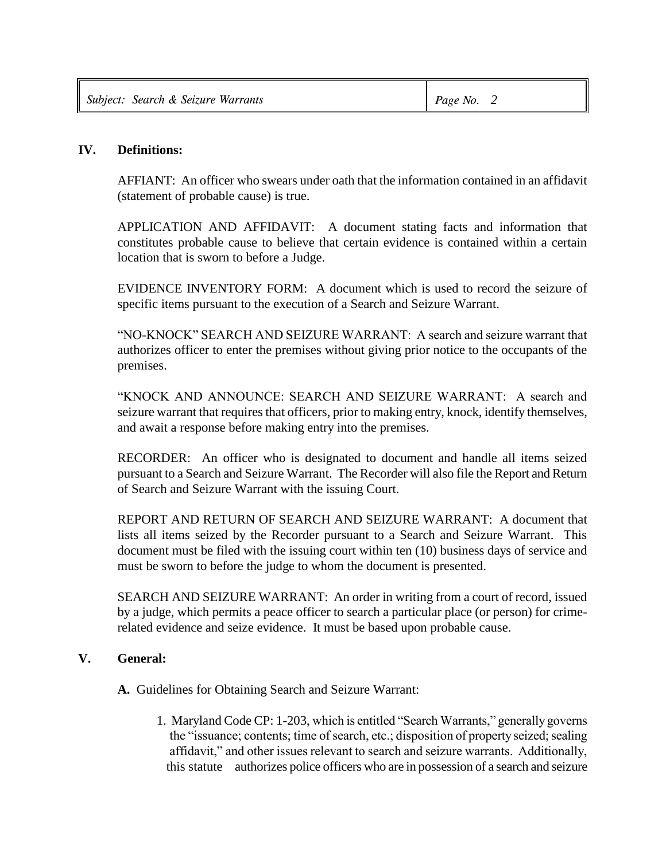| Subject: Search & Seizure Warrants | Page No. 2 |
|------------------------------------|------------|
|------------------------------------|------------|

## **IV. Definitions:**

AFFIANT: An officer who swears under oath that the information contained in an affidavit (statement of probable cause) is true.

APPLICATION AND AFFIDAVIT: A document stating facts and information that constitutes probable cause to believe that certain evidence is contained within a certain location that is sworn to before a Judge.

EVIDENCE INVENTORY FORM: A document which is used to record the seizure of specific items pursuant to the execution of a Search and Seizure Warrant.

"NO-KNOCK" SEARCH AND SEIZURE WARRANT: A search and seizure warrant that authorizes officer to enter the premises without giving prior notice to the occupants of the premises.

"KNOCK AND ANNOUNCE: SEARCH AND SEIZURE WARRANT: A search and seizure warrant that requires that officers, prior to making entry, knock, identify themselves, and await a response before making entry into the premises.

RECORDER: An officer who is designated to document and handle all items seized pursuant to a Search and Seizure Warrant. The Recorder will also file the Report and Return of Search and Seizure Warrant with the issuing Court.

REPORT AND RETURN OF SEARCH AND SEIZURE WARRANT: A document that lists all items seized by the Recorder pursuant to a Search and Seizure Warrant. This document must be filed with the issuing court within ten (10) business days of service and must be sworn to before the judge to whom the document is presented.

SEARCH AND SEIZURE WARRANT: An order in writing from a court of record, issued by a judge, which permits a peace officer to search a particular place (or person) for crimerelated evidence and seize evidence. It must be based upon probable cause.

## **V. General:**

**A.** Guidelines for Obtaining Search and Seizure Warrant:

1. Maryland Code CP: 1-203, which is entitled "Search Warrants," generally governs the "issuance; contents; time of search, etc.; disposition of property seized; sealing affidavit," and other issues relevant to search and seizure warrants. Additionally, this statute authorizes police officers who are in possession of a search and seizure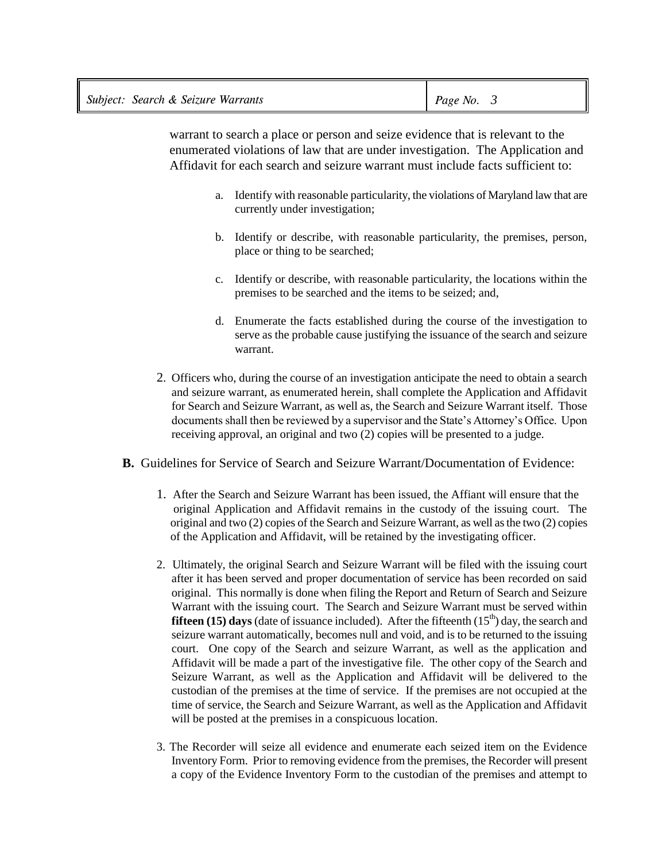| Subject: Search & Seizure Warrants | Page No. $\beta$ |
|------------------------------------|------------------|
|------------------------------------|------------------|

 warrant to search a place or person and seize evidence that is relevant to the enumerated violations of law that are under investigation. The Application and Affidavit for each search and seizure warrant must include facts sufficient to:

- a. Identify with reasonable particularity, the violations of Maryland law that are currently under investigation;
- b. Identify or describe, with reasonable particularity, the premises, person, place or thing to be searched;
- c. Identify or describe, with reasonable particularity, the locations within the premises to be searched and the items to be seized; and,
- d. Enumerate the facts established during the course of the investigation to serve as the probable cause justifying the issuance of the search and seizure warrant.
- 2. Officers who, during the course of an investigation anticipate the need to obtain a search and seizure warrant, as enumerated herein, shall complete the Application and Affidavit for Search and Seizure Warrant, as well as, the Search and Seizure Warrant itself. Those documents shall then be reviewed by a supervisor and the State's Attorney's Office. Upon receiving approval, an original and two (2) copies will be presented to a judge.
- **B.** Guidelines for Service of Search and Seizure Warrant/Documentation of Evidence:
	- 1. After the Search and Seizure Warrant has been issued, the Affiant will ensure that the original Application and Affidavit remains in the custody of the issuing court. The original and two (2) copies of the Search and Seizure Warrant, as well as the two (2) copies of the Application and Affidavit, will be retained by the investigating officer.
	- 2. Ultimately, the original Search and Seizure Warrant will be filed with the issuing court after it has been served and proper documentation of service has been recorded on said original. This normally is done when filing the Report and Return of Search and Seizure Warrant with the issuing court. The Search and Seizure Warrant must be served within **fifteen (15) days** (date of issuance included). After the fifteenth  $(15<sup>th</sup>)$  day, the search and seizure warrant automatically, becomes null and void, and is to be returned to the issuing court. One copy of the Search and seizure Warrant, as well as the application and Affidavit will be made a part of the investigative file. The other copy of the Search and Seizure Warrant, as well as the Application and Affidavit will be delivered to the custodian of the premises at the time of service. If the premises are not occupied at the time of service, the Search and Seizure Warrant, as well as the Application and Affidavit will be posted at the premises in a conspicuous location.
	- 3. The Recorder will seize all evidence and enumerate each seized item on the Evidence Inventory Form. Prior to removing evidence from the premises, the Recorder will present a copy of the Evidence Inventory Form to the custodian of the premises and attempt to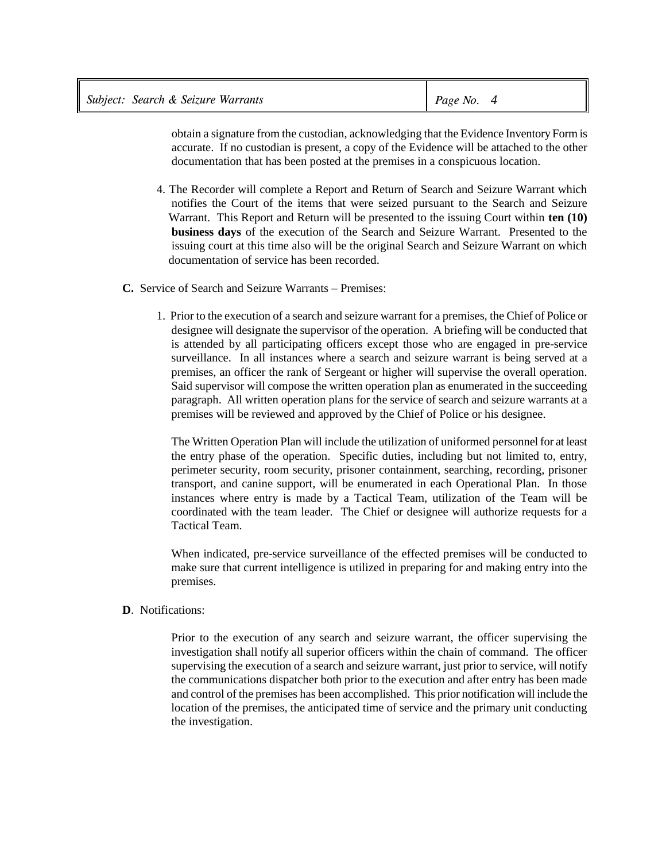|  | Subject: Search & Seizure Warrants | Page No. $4$ |  |
|--|------------------------------------|--------------|--|
|--|------------------------------------|--------------|--|

 obtain a signature from the custodian, acknowledging that the Evidence Inventory Form is accurate. If no custodian is present, a copy of the Evidence will be attached to the other documentation that has been posted at the premises in a conspicuous location.

- 4. The Recorder will complete a Report and Return of Search and Seizure Warrant which notifies the Court of the items that were seized pursuant to the Search and Seizure Warrant. This Report and Return will be presented to the issuing Court within **ten (10) business days** of the execution of the Search and Seizure Warrant. Presented to the issuing court at this time also will be the original Search and Seizure Warrant on which documentation of service has been recorded.
- **C.** Service of Search and Seizure Warrants Premises:
	- 1. Prior to the execution of a search and seizure warrant for a premises, the Chief of Police or designee will designate the supervisor of the operation. A briefing will be conducted that is attended by all participating officers except those who are engaged in pre-service surveillance. In all instances where a search and seizure warrant is being served at a premises, an officer the rank of Sergeant or higher will supervise the overall operation. Said supervisor will compose the written operation plan as enumerated in the succeeding paragraph. All written operation plans for the service of search and seizure warrants at a premises will be reviewed and approved by the Chief of Police or his designee.

The Written Operation Plan will include the utilization of uniformed personnel for at least the entry phase of the operation. Specific duties, including but not limited to, entry, perimeter security, room security, prisoner containment, searching, recording, prisoner transport, and canine support, will be enumerated in each Operational Plan. In those instances where entry is made by a Tactical Team, utilization of the Team will be coordinated with the team leader. The Chief or designee will authorize requests for a Tactical Team.

When indicated, pre-service surveillance of the effected premises will be conducted to make sure that current intelligence is utilized in preparing for and making entry into the premises.

**D**. Notifications:

Prior to the execution of any search and seizure warrant, the officer supervising the investigation shall notify all superior officers within the chain of command. The officer supervising the execution of a search and seizure warrant, just prior to service, will notify the communications dispatcher both prior to the execution and after entry has been made and control of the premises has been accomplished. This prior notification will include the location of the premises, the anticipated time of service and the primary unit conducting the investigation.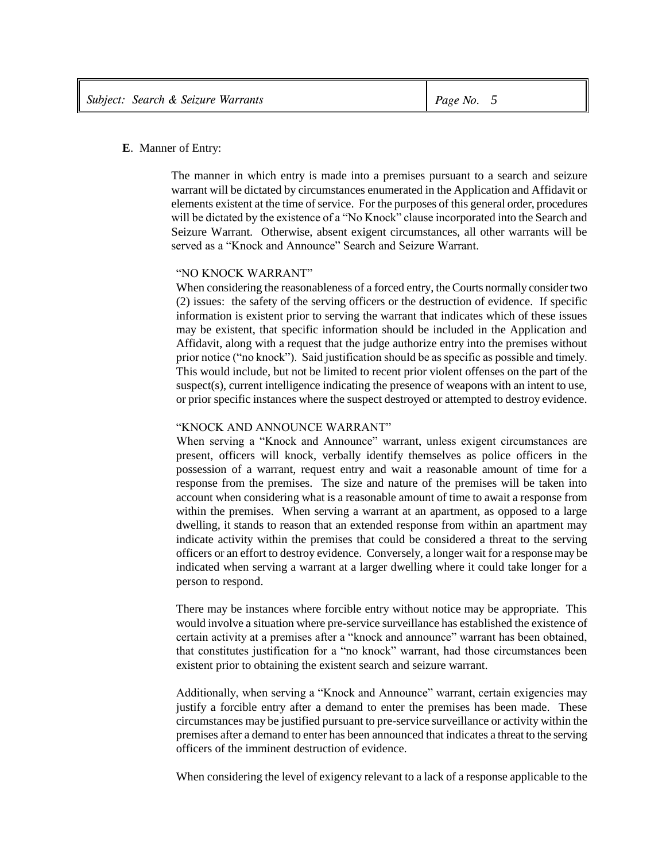#### **E**. Manner of Entry:

The manner in which entry is made into a premises pursuant to a search and seizure warrant will be dictated by circumstances enumerated in the Application and Affidavit or elements existent at the time of service. For the purposes of this general order, procedures will be dictated by the existence of a "No Knock" clause incorporated into the Search and Seizure Warrant. Otherwise, absent exigent circumstances, all other warrants will be served as a "Knock and Announce" Search and Seizure Warrant.

#### "NO KNOCK WARRANT"

When considering the reasonableness of a forced entry, the Courts normally consider two (2) issues: the safety of the serving officers or the destruction of evidence. If specific information is existent prior to serving the warrant that indicates which of these issues may be existent, that specific information should be included in the Application and Affidavit, along with a request that the judge authorize entry into the premises without prior notice ("no knock"). Said justification should be as specific as possible and timely. This would include, but not be limited to recent prior violent offenses on the part of the suspect(s), current intelligence indicating the presence of weapons with an intent to use, or prior specific instances where the suspect destroyed or attempted to destroy evidence.

#### "KNOCK AND ANNOUNCE WARRANT"

When serving a "Knock and Announce" warrant, unless exigent circumstances are present, officers will knock, verbally identify themselves as police officers in the possession of a warrant, request entry and wait a reasonable amount of time for a response from the premises. The size and nature of the premises will be taken into account when considering what is a reasonable amount of time to await a response from within the premises. When serving a warrant at an apartment, as opposed to a large dwelling, it stands to reason that an extended response from within an apartment may indicate activity within the premises that could be considered a threat to the serving officers or an effort to destroy evidence. Conversely, a longer wait for a response may be indicated when serving a warrant at a larger dwelling where it could take longer for a person to respond.

There may be instances where forcible entry without notice may be appropriate. This would involve a situation where pre-service surveillance has established the existence of certain activity at a premises after a "knock and announce" warrant has been obtained, that constitutes justification for a "no knock" warrant, had those circumstances been existent prior to obtaining the existent search and seizure warrant.

Additionally, when serving a "Knock and Announce" warrant, certain exigencies may justify a forcible entry after a demand to enter the premises has been made. These circumstances may be justified pursuant to pre-service surveillance or activity within the premises after a demand to enter has been announced that indicates a threat to the serving officers of the imminent destruction of evidence.

When considering the level of exigency relevant to a lack of a response applicable to the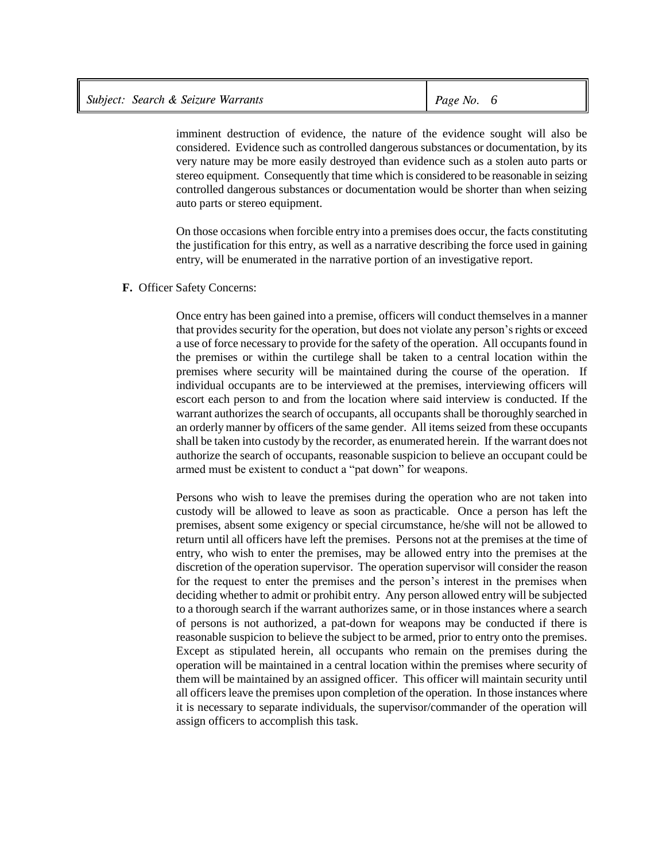| Subject: Search & Seizure Warrants | Page No. $6$ |  |
|------------------------------------|--------------|--|
|                                    |              |  |

imminent destruction of evidence, the nature of the evidence sought will also be considered. Evidence such as controlled dangerous substances or documentation, by its very nature may be more easily destroyed than evidence such as a stolen auto parts or stereo equipment. Consequently that time which is considered to be reasonable in seizing controlled dangerous substances or documentation would be shorter than when seizing auto parts or stereo equipment.

On those occasions when forcible entry into a premises does occur, the facts constituting the justification for this entry, as well as a narrative describing the force used in gaining entry, will be enumerated in the narrative portion of an investigative report.

#### **F.** Officer Safety Concerns:

Once entry has been gained into a premise, officers will conduct themselves in a manner that provides security for the operation, but does not violate any person's rights or exceed a use of force necessary to provide for the safety of the operation. All occupants found in the premises or within the curtilege shall be taken to a central location within the premises where security will be maintained during the course of the operation. If individual occupants are to be interviewed at the premises, interviewing officers will escort each person to and from the location where said interview is conducted. If the warrant authorizes the search of occupants, all occupants shall be thoroughly searched in an orderly manner by officers of the same gender. All items seized from these occupants shall be taken into custody by the recorder, as enumerated herein. If the warrant does not authorize the search of occupants, reasonable suspicion to believe an occupant could be armed must be existent to conduct a "pat down" for weapons.

Persons who wish to leave the premises during the operation who are not taken into custody will be allowed to leave as soon as practicable. Once a person has left the premises, absent some exigency or special circumstance, he/she will not be allowed to return until all officers have left the premises. Persons not at the premises at the time of entry, who wish to enter the premises, may be allowed entry into the premises at the discretion of the operation supervisor. The operation supervisor will consider the reason for the request to enter the premises and the person's interest in the premises when deciding whether to admit or prohibit entry. Any person allowed entry will be subjected to a thorough search if the warrant authorizes same, or in those instances where a search of persons is not authorized, a pat-down for weapons may be conducted if there is reasonable suspicion to believe the subject to be armed, prior to entry onto the premises. Except as stipulated herein, all occupants who remain on the premises during the operation will be maintained in a central location within the premises where security of them will be maintained by an assigned officer. This officer will maintain security until all officers leave the premises upon completion of the operation. In those instances where it is necessary to separate individuals, the supervisor/commander of the operation will assign officers to accomplish this task.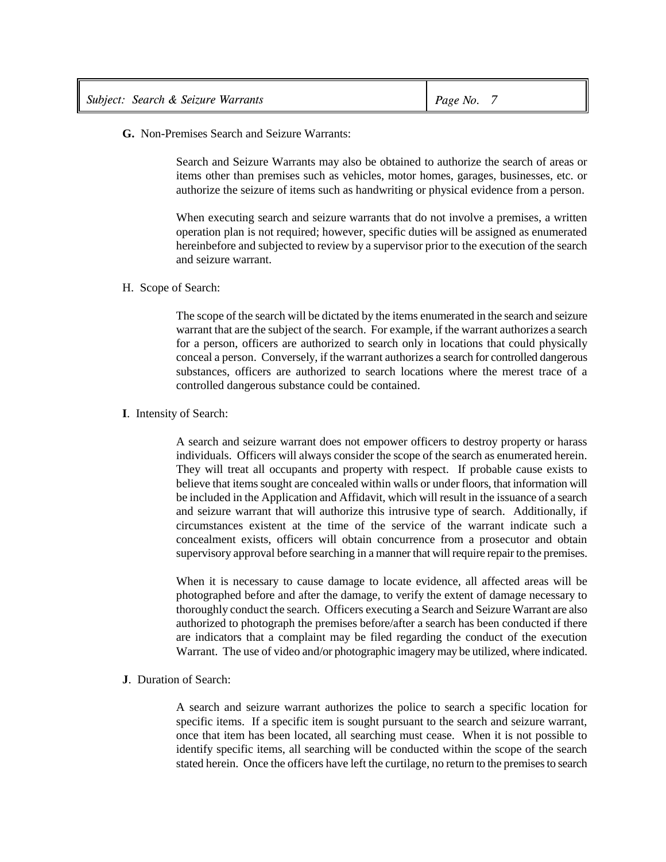| Subject: Search & Seizure Warrants | Page No. $7$ |
|------------------------------------|--------------|
|------------------------------------|--------------|

**G.** Non-Premises Search and Seizure Warrants:

Search and Seizure Warrants may also be obtained to authorize the search of areas or items other than premises such as vehicles, motor homes, garages, businesses, etc. or authorize the seizure of items such as handwriting or physical evidence from a person.

When executing search and seizure warrants that do not involve a premises, a written operation plan is not required; however, specific duties will be assigned as enumerated hereinbefore and subjected to review by a supervisor prior to the execution of the search and seizure warrant.

#### H. Scope of Search:

The scope of the search will be dictated by the items enumerated in the search and seizure warrant that are the subject of the search. For example, if the warrant authorizes a search for a person, officers are authorized to search only in locations that could physically conceal a person. Conversely, if the warrant authorizes a search for controlled dangerous substances, officers are authorized to search locations where the merest trace of a controlled dangerous substance could be contained.

#### **I**. Intensity of Search:

A search and seizure warrant does not empower officers to destroy property or harass individuals. Officers will always consider the scope of the search as enumerated herein. They will treat all occupants and property with respect. If probable cause exists to believe that items sought are concealed within walls or under floors, that information will be included in the Application and Affidavit, which will result in the issuance of a search and seizure warrant that will authorize this intrusive type of search. Additionally, if circumstances existent at the time of the service of the warrant indicate such a concealment exists, officers will obtain concurrence from a prosecutor and obtain supervisory approval before searching in a manner that will require repair to the premises.

When it is necessary to cause damage to locate evidence, all affected areas will be photographed before and after the damage, to verify the extent of damage necessary to thoroughly conduct the search. Officers executing a Search and Seizure Warrant are also authorized to photograph the premises before/after a search has been conducted if there are indicators that a complaint may be filed regarding the conduct of the execution Warrant. The use of video and/or photographic imagery may be utilized, where indicated.

### **J**. Duration of Search:

A search and seizure warrant authorizes the police to search a specific location for specific items. If a specific item is sought pursuant to the search and seizure warrant, once that item has been located, all searching must cease. When it is not possible to identify specific items, all searching will be conducted within the scope of the search stated herein. Once the officers have left the curtilage, no return to the premises to search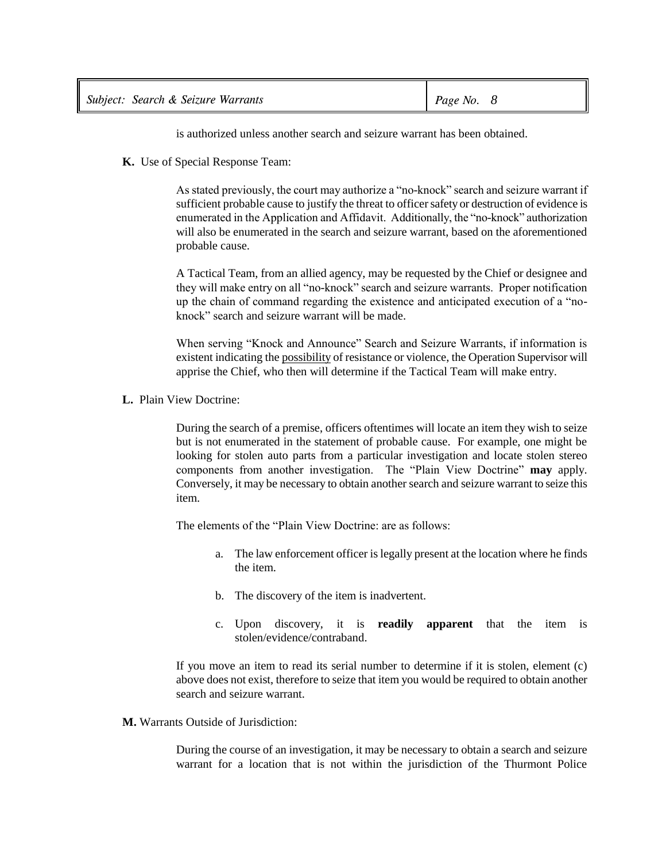| Subject: Search & Seizure Warrants | Page No. $8$ |
|------------------------------------|--------------|
|------------------------------------|--------------|

is authorized unless another search and seizure warrant has been obtained.

**K.** Use of Special Response Team:

As stated previously, the court may authorize a "no-knock" search and seizure warrant if sufficient probable cause to justify the threat to officer safety or destruction of evidence is enumerated in the Application and Affidavit. Additionally, the "no-knock" authorization will also be enumerated in the search and seizure warrant, based on the aforementioned probable cause.

A Tactical Team, from an allied agency, may be requested by the Chief or designee and they will make entry on all "no-knock" search and seizure warrants. Proper notification up the chain of command regarding the existence and anticipated execution of a "noknock" search and seizure warrant will be made.

When serving "Knock and Announce" Search and Seizure Warrants, if information is existent indicating the possibility of resistance or violence, the Operation Supervisor will apprise the Chief, who then will determine if the Tactical Team will make entry.

**L.** Plain View Doctrine:

During the search of a premise, officers oftentimes will locate an item they wish to seize but is not enumerated in the statement of probable cause. For example, one might be looking for stolen auto parts from a particular investigation and locate stolen stereo components from another investigation. The "Plain View Doctrine" **may** apply. Conversely, it may be necessary to obtain another search and seizure warrant to seize this item.

The elements of the "Plain View Doctrine: are as follows:

- a. The law enforcement officer is legally present at the location where he finds the item.
- b. The discovery of the item is inadvertent.
- c. Upon discovery, it is **readily apparent** that the item is stolen/evidence/contraband.

If you move an item to read its serial number to determine if it is stolen, element (c) above does not exist, therefore to seize that item you would be required to obtain another search and seizure warrant.

**M.** Warrants Outside of Jurisdiction:

During the course of an investigation, it may be necessary to obtain a search and seizure warrant for a location that is not within the jurisdiction of the Thurmont Police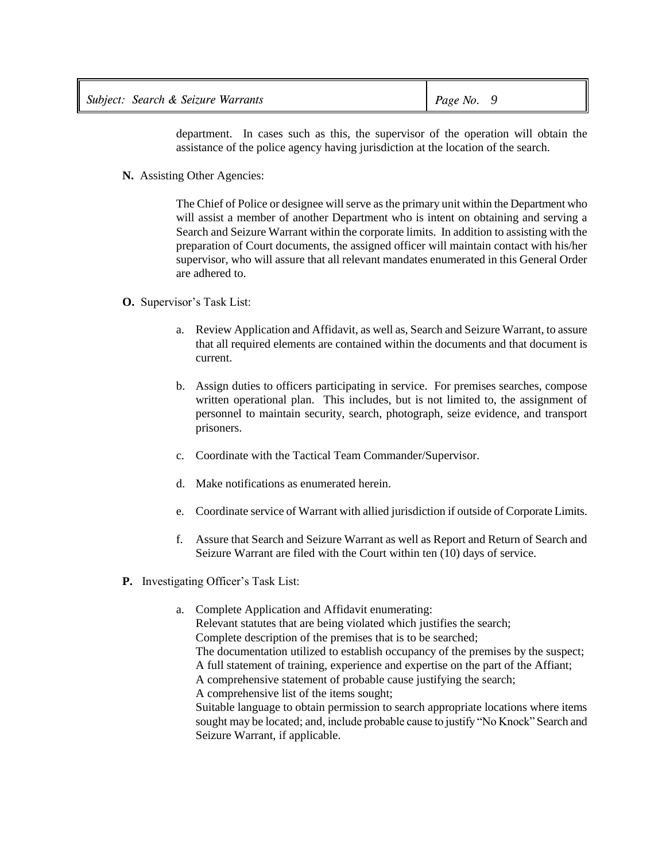| Subject: Search & Seizure Warrants | Page No. |
|------------------------------------|----------|
|------------------------------------|----------|

department. In cases such as this, the supervisor of the operation will obtain the assistance of the police agency having jurisdiction at the location of the search.

**N.** Assisting Other Agencies:

The Chief of Police or designee will serve as the primary unit within the Department who will assist a member of another Department who is intent on obtaining and serving a Search and Seizure Warrant within the corporate limits. In addition to assisting with the preparation of Court documents, the assigned officer will maintain contact with his/her supervisor, who will assure that all relevant mandates enumerated in this General Order are adhered to.

- **O.** Supervisor's Task List:
	- a. Review Application and Affidavit, as well as, Search and Seizure Warrant, to assure that all required elements are contained within the documents and that document is current.
	- b. Assign duties to officers participating in service. For premises searches, compose written operational plan. This includes, but is not limited to, the assignment of personnel to maintain security, search, photograph, seize evidence, and transport prisoners.
	- c. Coordinate with the Tactical Team Commander/Supervisor.
	- d. Make notifications as enumerated herein.
	- e. Coordinate service of Warrant with allied jurisdiction if outside of Corporate Limits.
	- f. Assure that Search and Seizure Warrant as well as Report and Return of Search and Seizure Warrant are filed with the Court within ten (10) days of service.
- **P.** Investigating Officer's Task List:
	- a. Complete Application and Affidavit enumerating: Relevant statutes that are being violated which justifies the search; Complete description of the premises that is to be searched; The documentation utilized to establish occupancy of the premises by the suspect; A full statement of training, experience and expertise on the part of the Affiant; A comprehensive statement of probable cause justifying the search; A comprehensive list of the items sought; Suitable language to obtain permission to search appropriate locations where items sought may be located; and, include probable cause to justify "No Knock" Search and Seizure Warrant, if applicable.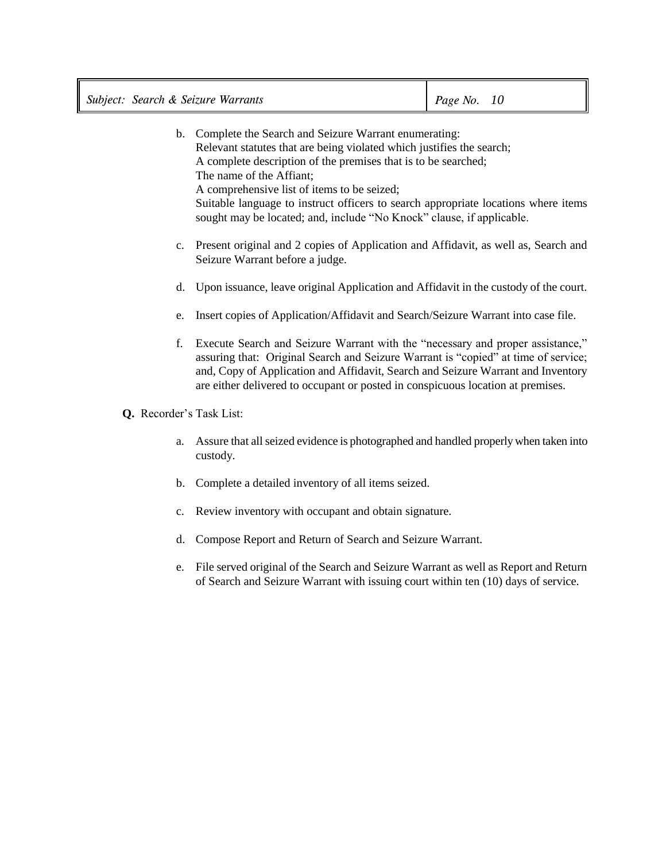|                          | b. Complete the Search and Seizure Warrant enumerating:<br>Relevant statutes that are being violated which justifies the search;<br>A complete description of the premises that is to be searched;<br>The name of the Affiant;<br>A comprehensive list of items to be seized;                                                               |
|--------------------------|---------------------------------------------------------------------------------------------------------------------------------------------------------------------------------------------------------------------------------------------------------------------------------------------------------------------------------------------|
|                          | Suitable language to instruct officers to search appropriate locations where items<br>sought may be located; and, include "No Knock" clause, if applicable.                                                                                                                                                                                 |
|                          | c. Present original and 2 copies of Application and Affidavit, as well as, Search and<br>Seizure Warrant before a judge.                                                                                                                                                                                                                    |
| d.                       | Upon issuance, leave original Application and Affidavit in the custody of the court.                                                                                                                                                                                                                                                        |
| e.                       | Insert copies of Application/Affidavit and Search/Seizure Warrant into case file.                                                                                                                                                                                                                                                           |
| f.                       | Execute Search and Seizure Warrant with the "necessary and proper assistance,"<br>assuring that: Original Search and Seizure Warrant is "copied" at time of service;<br>and, Copy of Application and Affidavit, Search and Seizure Warrant and Inventory<br>are either delivered to occupant or posted in conspicuous location at premises. |
| Q. Recorder's Task List: |                                                                                                                                                                                                                                                                                                                                             |
| a.                       | Assure that all seized evidence is photographed and handled properly when taken into<br>custody.                                                                                                                                                                                                                                            |
| b.                       | Complete a detailed inventory of all items seized.                                                                                                                                                                                                                                                                                          |
| c.                       | Review inventory with occupant and obtain signature.                                                                                                                                                                                                                                                                                        |
| d.                       | Compose Report and Return of Search and Seizure Warrant.                                                                                                                                                                                                                                                                                    |
| e.                       | File served original of the Search and Seizure Warrant as well as Report and Return<br>of Search and Seizure Warrant with issuing court within ten (10) days of service.                                                                                                                                                                    |
|                          |                                                                                                                                                                                                                                                                                                                                             |
|                          |                                                                                                                                                                                                                                                                                                                                             |
|                          |                                                                                                                                                                                                                                                                                                                                             |